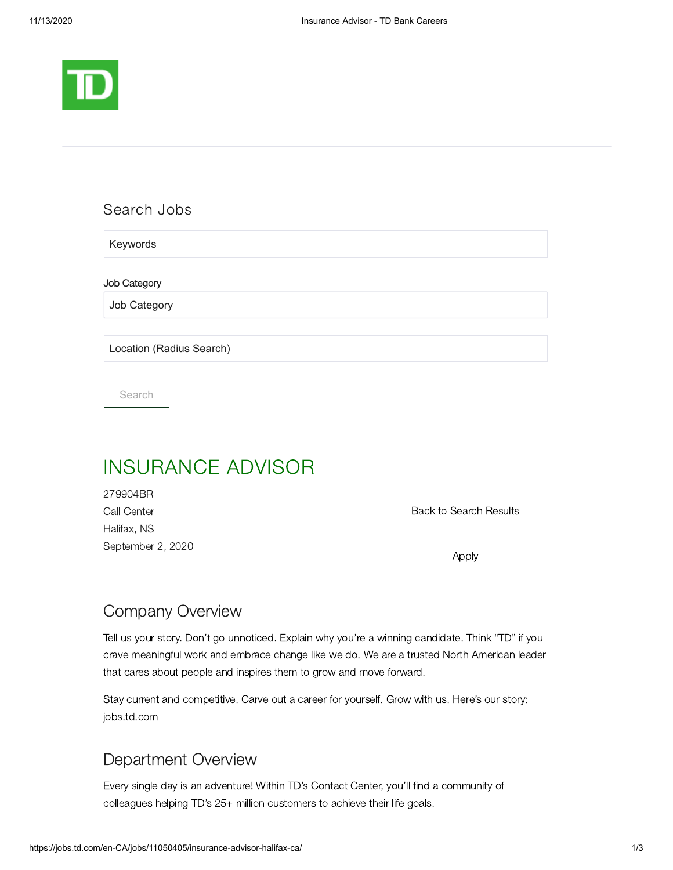

## Search Jobs

Keywords

Job Category

Job Category

Location (Radius Search)

Search

# INSURANCE ADVISOR

279904BR Call Center Halifax, NS September 2, 2020

Back to Search Results

**[Apply](https://sjobs.brassring.com/TGnewUI/Search/home/HomeWithPreLoad?PageType=JobDetails&partnerid=25404&siteid=5602&jobid=2608587&codes=UE4)** 

# Company Overview

Tell us your story. Don't go unnoticed. Explain why you're a winning candidate. Think "TD" if you crave meaningful work and embrace change like we do. We are a trusted North American leader that cares about people and inspires them to grow and move forward.

Stay current and competitive. Carve out a career for yourself. Grow with us. Here's our story: [jobs.td.com](http://jobs.td.com/)

# Department Overview

Every single day is an adventure! Within TD's Contact Center, you'll find a community of colleagues helping TD's 25+ million customers to achieve their life goals.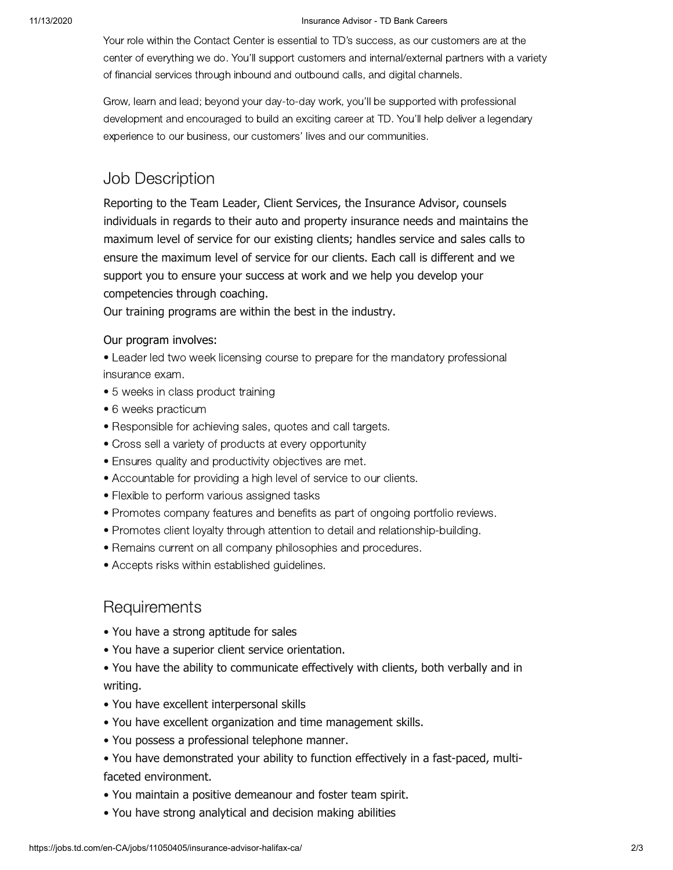#### 11/13/2020 Insurance Advisor - TD Bank Careers

Your role within the Contact Center is essential to TD's success, as our customers are at the center of everything we do. You'll support customers and internal/external partners with a variety of financial services through inbound and outbound calls, and digital channels.

Grow, learn and lead; beyond your day-to-day work, you'll be supported with professional development and encouraged to build an exciting career at TD. You'll help deliver a legendary experience to our business, our customers' lives and our communities.

# Job Description

Reporting to the Team Leader, Client Services, the Insurance Advisor, counsels individuals in regards to their auto and property insurance needs and maintains the maximum level of service for our existing clients; handles service and sales calls to ensure the maximum level of service for our clients. Each call is different and we support you to ensure your success at work and we help you develop your competencies through coaching.

Our training programs are within the best in the industry.

#### Our program involves:

• Leader led two week licensing course to prepare for the mandatory professional insurance exam.

- 5 weeks in class product training
- 6 weeks practicum
- Responsible for achieving sales, quotes and call targets.
- Cross sell a variety of products at every opportunity
- Ensures quality and productivity objectives are met.
- Accountable for providing a high level of service to our clients.
- Flexible to perform various assigned tasks
- Promotes company features and benefits as part of ongoing portfolio reviews.
- Promotes client loyalty through attention to detail and relationship-building.
- Remains current on all company philosophies and procedures.
- Accepts risks within established guidelines.

### **Requirements**

- You have a strong aptitude for sales
- You have a superior client service orientation.
- You have the ability to communicate effectively with clients, both verbally and in writing.
- You have excellent interpersonal skills
- You have excellent organization and time management skills.
- You possess a professional telephone manner.
- You have demonstrated your ability to function effectively in a fast-paced, multifaceted environment.
- You maintain a positive demeanour and foster team spirit.
- You have strong analytical and decision making abilities